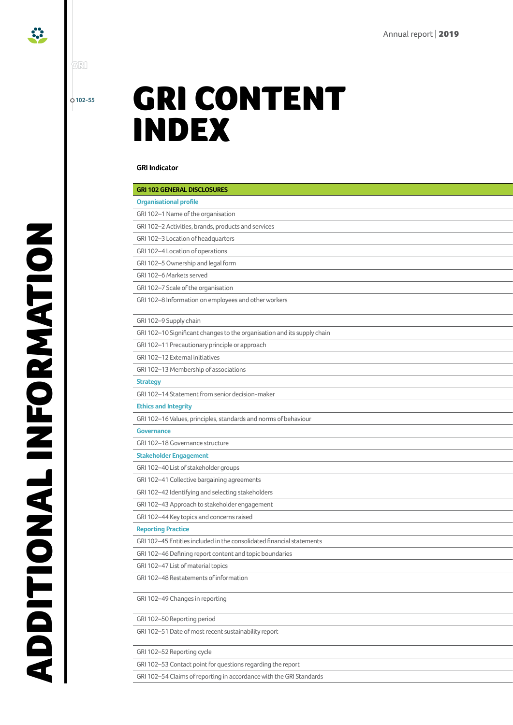**102-55**

'GRI

 $\ddot{\cdot}$ 

## GRI CONTENT INDEX

## **GRI Indicator Omissions/Comment Page number**

| <b>GRI 102 GENERAL DISCLOSURES</b>                                      |
|-------------------------------------------------------------------------|
| <b>Organisational profile</b>                                           |
| GRI 102-1 Name of the organisation                                      |
| GRI 102-2 Activities, brands, products and services                     |
| GRI 102-3 Location of headquarters                                      |
| GRI 102-4 Location of operations                                        |
| GRI 102-5 Ownership and legal form                                      |
| GRI 102-6 Markets served                                                |
| GRI 102-7 Scale of the organisation                                     |
| GRI 102-8 Information on employees and other workers                    |
| GRI 102-9 Supply chain                                                  |
| GRI 102-10 Significant changes to the organisation and its supply chain |
| GRI 102-11 Precautionary principle or approach                          |
| GRI 102-12 External initiatives                                         |
| GRI 102-13 Membership of associations                                   |
| <b>Strategy</b>                                                         |
| GRI 102-14 Statement from senior decision-maker                         |
| <b>Ethics and Integrity</b>                                             |
| GRI 102-16 Values, principles, standards and norms of behaviour         |
| Governance                                                              |
| GRI 102-18 Governance structure                                         |
| Stakeholder Engagement                                                  |
| GRI 102-40 List of stakeholder groups                                   |
| GRI 102-41 Collective bargaining agreements                             |
| GRI 102-42 Identifying and selecting stakeholders                       |
| GRI 102-43 Approach to stakeholder engagement                           |
| GRI 102-44 Key topics and concerns raised                               |
| <b>Reporting Practice</b>                                               |
| GRI 102-45 Entities included in the consolidated financial statements   |
| GRI 102-46 Defining report content and topic boundaries                 |
| GRI 102-47 List of material topics                                      |
| GRI 102-48 Restatements of information                                  |
| GRI 102-49 Changes in reporting                                         |
| GRI 102-50 Reporting period                                             |
| GRI 102-51 Date of most recent sustainability report                    |
| GRI 102-52 Reporting cycle                                              |
| GRI 102-53 Contact point for questions regarding the report             |
| GRI 102-54 Claims of reporting in accordance with the GRI Standards     |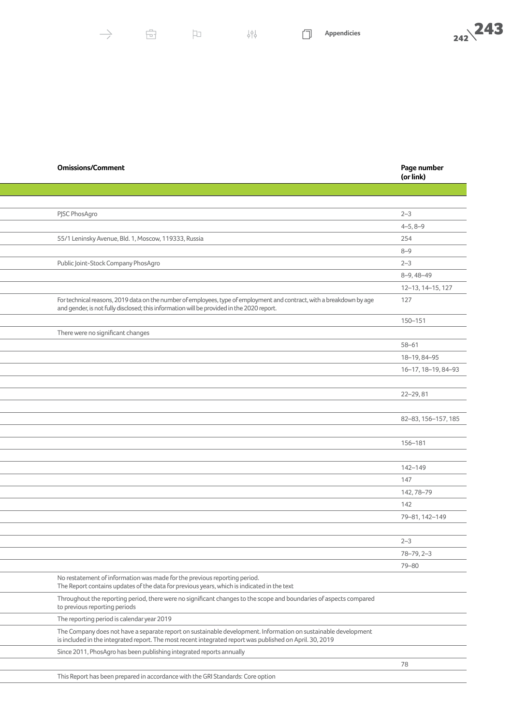| <b>Omissions/Comment</b> | Page number |
|--------------------------|-------------|
|                          |             |

|                                                                                                                                                                                                                            | (or link)           |
|----------------------------------------------------------------------------------------------------------------------------------------------------------------------------------------------------------------------------|---------------------|
|                                                                                                                                                                                                                            |                     |
|                                                                                                                                                                                                                            |                     |
| PJSC PhosAgro                                                                                                                                                                                                              | $2 - 3$             |
|                                                                                                                                                                                                                            | $4 - 5, 8 - 9$      |
| 55/1 Leninsky Avenue, Bld. 1, Moscow, 119333, Russia                                                                                                                                                                       | 254                 |
|                                                                                                                                                                                                                            | $8 - 9$             |
| Public Joint-Stock Company PhosAgro                                                                                                                                                                                        | $2 - 3$             |
|                                                                                                                                                                                                                            | $8-9,48-49$         |
|                                                                                                                                                                                                                            | 12-13, 14-15, 127   |
| For technical reasons, 2019 data on the number of employees, type of employment and contract, with a breakdown by age<br>and gender, is not fully disclosed; this information will be provided in the 2020 report.         | 127                 |
|                                                                                                                                                                                                                            | 150-151             |
| There were no significant changes                                                                                                                                                                                          |                     |
|                                                                                                                                                                                                                            | $58 - 61$           |
|                                                                                                                                                                                                                            | 18-19, 84-95        |
|                                                                                                                                                                                                                            | 16-17, 18-19, 84-93 |
|                                                                                                                                                                                                                            |                     |
|                                                                                                                                                                                                                            | 22-29,81            |
|                                                                                                                                                                                                                            |                     |
|                                                                                                                                                                                                                            | 82-83, 156-157, 185 |
|                                                                                                                                                                                                                            | 156-181             |
|                                                                                                                                                                                                                            |                     |
|                                                                                                                                                                                                                            | 142-149             |
|                                                                                                                                                                                                                            | 147                 |
|                                                                                                                                                                                                                            | 142, 78-79          |
|                                                                                                                                                                                                                            | 142                 |
|                                                                                                                                                                                                                            | 79-81, 142-149      |
|                                                                                                                                                                                                                            | $2 - 3$             |
|                                                                                                                                                                                                                            | $78 - 79, 2 - 3$    |
|                                                                                                                                                                                                                            | 79-80               |
| No restatement of information was made for the previous reporting period.<br>The Report contains updates of the data for previous years, which is indicated in the text                                                    |                     |
| Throughout the reporting period, there were no significant changes to the scope and boundaries of aspects compared<br>to previous reporting periods                                                                        |                     |
| The reporting period is calendar year 2019                                                                                                                                                                                 |                     |
| The Company does not have a separate report on sustainable development. Information on sustainable development<br>is included in the integrated report. The most recent integrated report was published on April. 30, 2019 |                     |
| Since 2011, PhosAgro has been publishing integrated reports annually                                                                                                                                                       |                     |
|                                                                                                                                                                                                                            | 78                  |
| This Report has been prepared in accordance with the GRI Standards: Core option                                                                                                                                            |                     |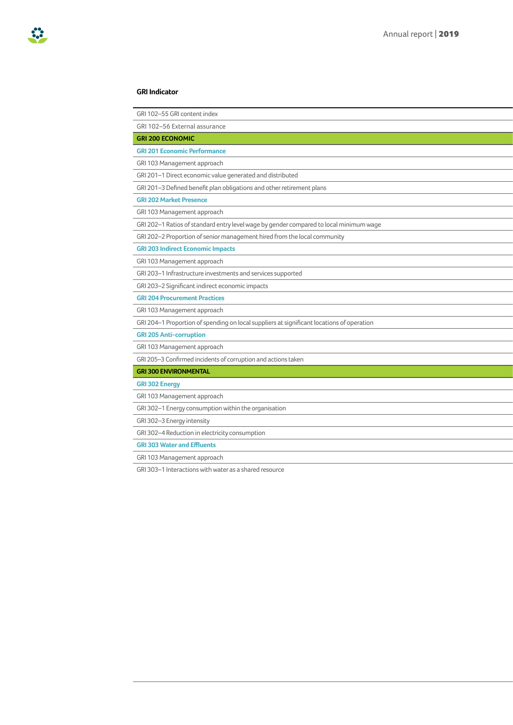| GRI 102-55 GRI content index                                                              |
|-------------------------------------------------------------------------------------------|
| GRI 102-56 External assurance                                                             |
| <b>GRI 200 ECONOMIC</b>                                                                   |
| <b>GRI 201 Economic Performance</b>                                                       |
| GRI 103 Management approach                                                               |
| GRI 201-1 Direct economic value generated and distributed                                 |
| GRI 201-3 Defined benefit plan obligations and other retirement plans                     |
| <b>GRI 202 Market Presence</b>                                                            |
| GRI 103 Management approach                                                               |
| GRI 202-1 Ratios of standard entry level wage by gender compared to local minimum wage    |
| GRI 202-2 Proportion of senior management hired from the local community                  |
| <b>GRI 203 Indirect Economic Impacts</b>                                                  |
| GRI 103 Management approach                                                               |
| GRI 203-1 Infrastructure investments and services supported                               |
| GRI 203-2 Significant indirect economic impacts                                           |
| <b>GRI 204 Procurement Practices</b>                                                      |
| GRI 103 Management approach                                                               |
| GRI 204-1 Proportion of spending on local suppliers at significant locations of operation |
| <b>GRI 205 Anti-corruption</b>                                                            |
| GRI 103 Management approach                                                               |
| GRI 205-3 Confirmed incidents of corruption and actions taken                             |
| <b>GRI 300 ENVIRONMENTAL</b>                                                              |
| <b>GRI 302 Energy</b>                                                                     |
| GRI 103 Management approach                                                               |
| GRI 302-1 Energy consumption within the organisation                                      |
| GRI 302-3 Energy intensity                                                                |
| GRI 302-4 Reduction in electricity consumption                                            |
| <b>GRI 303 Water and Effluents</b>                                                        |
| GRI 103 Management approach                                                               |
|                                                                                           |

GRI 303–1 Interactions with water as a shared resource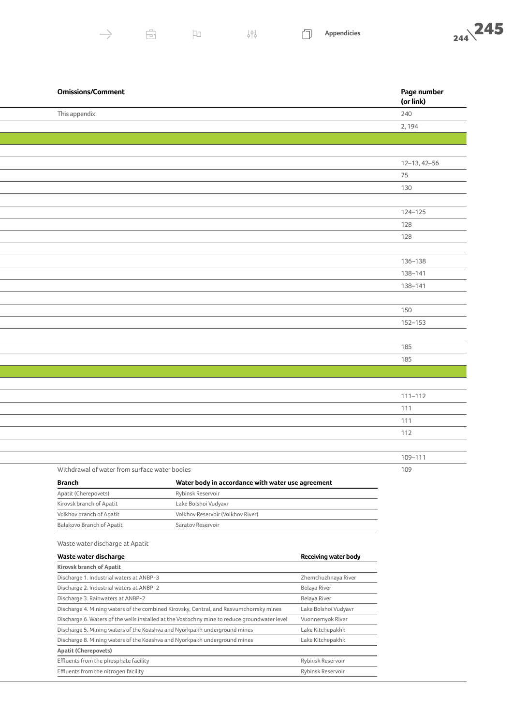$\ominus$ 

 $\mathsf{P}$ 

门



| <b>Omissions/Comment</b>                      |                                                   | Page number<br>(or link) |
|-----------------------------------------------|---------------------------------------------------|--------------------------|
| This appendix                                 |                                                   | 240                      |
|                                               |                                                   | 2,194                    |
|                                               |                                                   |                          |
|                                               |                                                   |                          |
|                                               |                                                   | $12 - 13, 42 - 56$       |
|                                               |                                                   | 75                       |
|                                               |                                                   | 130                      |
|                                               |                                                   |                          |
|                                               |                                                   | 124-125                  |
|                                               |                                                   | 128                      |
|                                               |                                                   | 128                      |
|                                               |                                                   |                          |
|                                               |                                                   | 136-138                  |
|                                               |                                                   | 138-141                  |
|                                               |                                                   | 138-141                  |
|                                               |                                                   |                          |
|                                               |                                                   | 150                      |
|                                               |                                                   | 152-153                  |
|                                               |                                                   | 185                      |
|                                               |                                                   | 185                      |
|                                               |                                                   |                          |
|                                               |                                                   |                          |
|                                               |                                                   | $111 - 112$              |
|                                               |                                                   | 111                      |
|                                               |                                                   | 111                      |
|                                               |                                                   | 112                      |
|                                               |                                                   |                          |
|                                               |                                                   | 109-111                  |
| Withdrawal of water from surface water bodies |                                                   | 109                      |
| <b>Branch</b>                                 | Water body in accordance with water use agreement |                          |
|                                               |                                                   |                          |

| -------                   | water boay in accordance with water abe agreement |
|---------------------------|---------------------------------------------------|
| Apatit (Cherepovets)      | Rybinsk Reservoir                                 |
| Kirovsk branch of Apatit  | Lake Bolshoi Vudyavr                              |
| Volkhov branch of Apatit  | Volkhov Reservoir (Volkhov River)                 |
| Balakovo Branch of Apatit | Saratov Reservoir                                 |

## Waste water discharge at Apatit

| Waste water discharge                                                                        | <b>Receiving water body</b> |  |  |
|----------------------------------------------------------------------------------------------|-----------------------------|--|--|
| Kirovsk branch of Apatit                                                                     |                             |  |  |
| Discharge 1. Industrial waters at ANBP-3                                                     | Zhemchuzhnaya River         |  |  |
| Discharge 2. Industrial waters at ANBP-2                                                     | <b>Belaya River</b>         |  |  |
| Discharge 3. Rainwaters at ANBP-2                                                            | Belaya River                |  |  |
| Discharge 4. Mining waters of the combined Kirovsky, Central, and Rasvumchorrsky mines       | Lake Bolshoi Vudyavr        |  |  |
| Discharge 6. Waters of the wells installed at the Vostochny mine to reduce groundwater level | Vuonnemyok River            |  |  |
| Discharge 5. Mining waters of the Koashva and Nyorkpakh underground mines                    | Lake Kitchepakhk            |  |  |
| Discharge 8. Mining waters of the Koashya and Nyorkpakh underground mines                    | Lake Kitchepakhk            |  |  |
| <b>Apatit (Cherepovets)</b>                                                                  |                             |  |  |
| Effluents from the phosphate facility                                                        | Rybinsk Reservoir           |  |  |
| Effluents from the nitrogen facility                                                         | Rybinsk Reservoir           |  |  |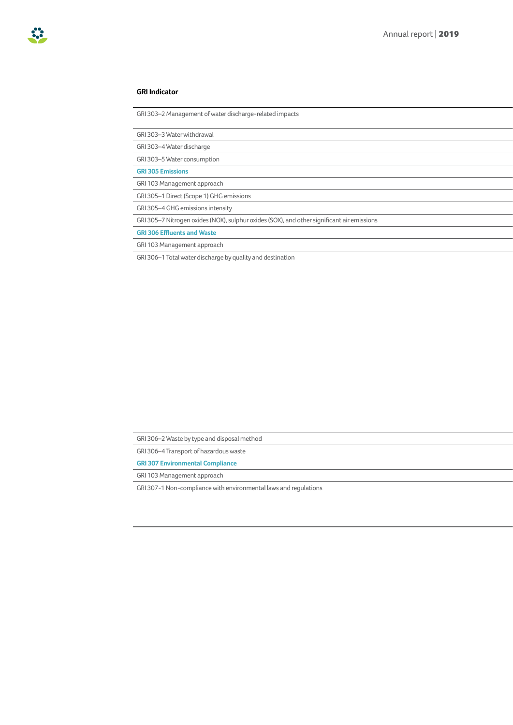## 83

### **GRI Indicator Omissions/Comment Page number**

GRI 303–2 Management of water discharge-related impacts

GRI 303–3 Water withdrawal 110 and 2110 and 2110 and 2110 and 2110 and 2110 and 2110 and 2110 and 2110 and 210

GRI 303–4 Water discharge 1111 was die 1111 van die 1111 maar van die 1111 was die 1111 was die 1111 was die 1

GRI 303-5 Water consumption

**GRI 305 Emissions**

GRI 103 Management approach

GRI 305-1 Direct (Scope 1) GHG emissions

GRI 305-4 GHG emissions intensity

GRI 305–7 Nitrogen oxides (NOX), sulphur oxides (SOX), and other significant air emissions

**GRI 306 Effluents and Waste**

GRI 103 Management approach

GRI 306–1 Total water discharge by quality and destination

GRI 306-2 Waste by type and disposal method

GRI 306–4 Transport of hazardous waste

**GRI 307 Environmental Compliance**

GRI 103 Management approach

GRI 307-1 Non-compliance with environmental laws and regulations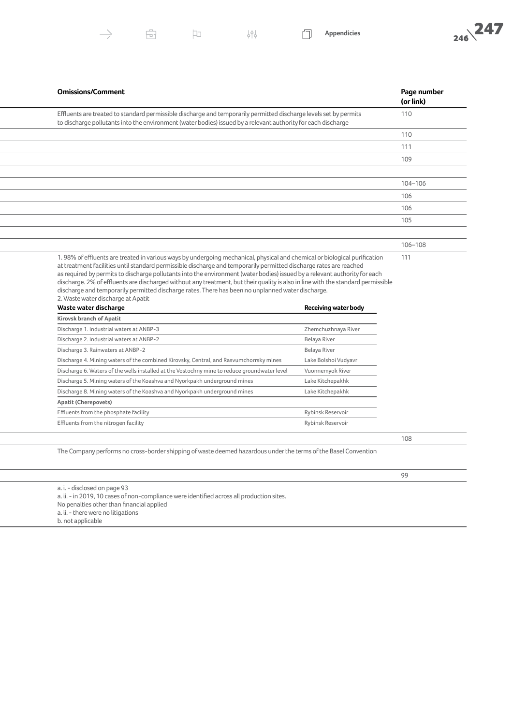



| <b>Omissions/Comment</b>                                                                                                                                                                                                                                                                                                                                                                                                                                                                                                                                                                                                                                     | Page number<br>(or link) |
|--------------------------------------------------------------------------------------------------------------------------------------------------------------------------------------------------------------------------------------------------------------------------------------------------------------------------------------------------------------------------------------------------------------------------------------------------------------------------------------------------------------------------------------------------------------------------------------------------------------------------------------------------------------|--------------------------|
| Effluents are treated to standard permissible discharge and temporarily permitted discharge levels set by permits<br>to discharge pollutants into the environment (water bodies) issued by a relevant authority for each discharge                                                                                                                                                                                                                                                                                                                                                                                                                           | 110                      |
|                                                                                                                                                                                                                                                                                                                                                                                                                                                                                                                                                                                                                                                              | 110                      |
|                                                                                                                                                                                                                                                                                                                                                                                                                                                                                                                                                                                                                                                              | 111                      |
|                                                                                                                                                                                                                                                                                                                                                                                                                                                                                                                                                                                                                                                              | 109                      |
|                                                                                                                                                                                                                                                                                                                                                                                                                                                                                                                                                                                                                                                              |                          |
|                                                                                                                                                                                                                                                                                                                                                                                                                                                                                                                                                                                                                                                              | 104-106                  |
|                                                                                                                                                                                                                                                                                                                                                                                                                                                                                                                                                                                                                                                              | 106                      |
|                                                                                                                                                                                                                                                                                                                                                                                                                                                                                                                                                                                                                                                              | 106                      |
|                                                                                                                                                                                                                                                                                                                                                                                                                                                                                                                                                                                                                                                              | 105                      |
|                                                                                                                                                                                                                                                                                                                                                                                                                                                                                                                                                                                                                                                              |                          |
|                                                                                                                                                                                                                                                                                                                                                                                                                                                                                                                                                                                                                                                              | 106-108                  |
| 1.98% of effluents are treated in various ways by undergoing mechanical, physical and chemical or biological purification<br>at treatment facilities until standard permissible discharge and temporarily permitted discharge rates are reached<br>as required by permits to discharge pollutants into the environment (water bodies) issued by a relevant authority for each<br>discharge. 2% of effluents are discharged without any treatment, but their quality is also in line with the standard permissible<br>discharge and temporarily permitted discharge rates. There has been no unplanned water discharge.<br>2. Waste water discharge at Apatit | 111                      |
| Waste water discharge<br><b>Receiving water body</b>                                                                                                                                                                                                                                                                                                                                                                                                                                                                                                                                                                                                         |                          |
| <b>Kirovsk branch of Apatit</b>                                                                                                                                                                                                                                                                                                                                                                                                                                                                                                                                                                                                                              |                          |
| Discharge 1. Industrial waters at ANBP-3<br>Zhemchuzhnaya River                                                                                                                                                                                                                                                                                                                                                                                                                                                                                                                                                                                              |                          |
| Discharge 2. Industrial waters at ANBP-2<br>Belaya River                                                                                                                                                                                                                                                                                                                                                                                                                                                                                                                                                                                                     |                          |
| Discharge 3. Rainwaters at ANBP-2<br>Belaya River                                                                                                                                                                                                                                                                                                                                                                                                                                                                                                                                                                                                            |                          |
| Discharge 4. Mining waters of the combined Kirovsky, Central, and Rasvumchorrsky mines<br>Lake Bolshoi Vudyavr                                                                                                                                                                                                                                                                                                                                                                                                                                                                                                                                               |                          |
| Discharge 6. Waters of the wells installed at the Vostochny mine to reduce groundwater level<br>Vuonnemyok River                                                                                                                                                                                                                                                                                                                                                                                                                                                                                                                                             |                          |
| Discharge 5. Mining waters of the Koashva and Nyorkpakh underground mines<br>Lake Kitchepakhk                                                                                                                                                                                                                                                                                                                                                                                                                                                                                                                                                                |                          |
| Discharge 8. Mining waters of the Koashva and Nyorkpakh underground mines<br>Lake Kitchepakhk                                                                                                                                                                                                                                                                                                                                                                                                                                                                                                                                                                |                          |
| <b>Apatit (Cherepovets)</b>                                                                                                                                                                                                                                                                                                                                                                                                                                                                                                                                                                                                                                  |                          |
| Effluents from the phosphate facility<br>Rybinsk Reservoir<br>Effluents from the nitrogen facility<br>Rybinsk Reservoir                                                                                                                                                                                                                                                                                                                                                                                                                                                                                                                                      |                          |
|                                                                                                                                                                                                                                                                                                                                                                                                                                                                                                                                                                                                                                                              |                          |
|                                                                                                                                                                                                                                                                                                                                                                                                                                                                                                                                                                                                                                                              | 108                      |
| The Company performs no cross-border shipping of waste deemed hazardous under the terms of the Basel Convention                                                                                                                                                                                                                                                                                                                                                                                                                                                                                                                                              |                          |
|                                                                                                                                                                                                                                                                                                                                                                                                                                                                                                                                                                                                                                                              |                          |
|                                                                                                                                                                                                                                                                                                                                                                                                                                                                                                                                                                                                                                                              | 99                       |
| a. i. - disclosed on page 93<br>a. ii. - in 2019, 10 cases of non-compliance were identified across all production sites.<br>No penalties other than financial applied<br>a. ii. - there were no litigations                                                                                                                                                                                                                                                                                                                                                                                                                                                 |                          |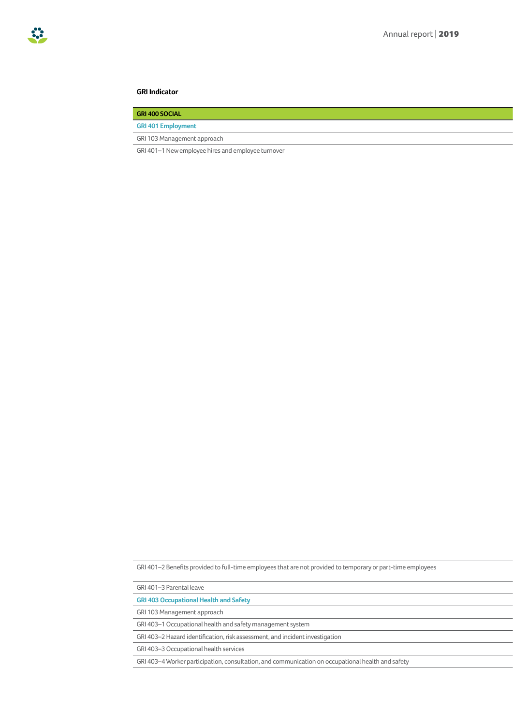| <b>GRI 400 SOCIAL</b>                              |
|----------------------------------------------------|
| <b>GRI 401 Employment</b>                          |
| GRI 103 Management approach                        |
| GRI 401-1 New employee hires and employee turnover |

GRI 401-2 Benefits provided to full-time employees that are not provided to temporary or part-time employees

GRI 401–3 Parental leave 130 and 130 and 130 and 130 and 130 and 130 and 130 and 130 and 130 and 130 and 130 and 130 and 130 and 130 and 130 and 130 and 130 and 130 and 130 and 130 and 130 and 130 and 130 and 130 and 130 a

**GRI 403 Occupational Health and Safety**

GRI 103 Management approach

GRI 403-1 Occupational health and safety management system

GRI 403-2 Hazard identification, risk assessment, and incident investigation

GRI 403-3 Occupational health services

GRI 403-4 Worker participation, consultation, and communication on occupational health and safety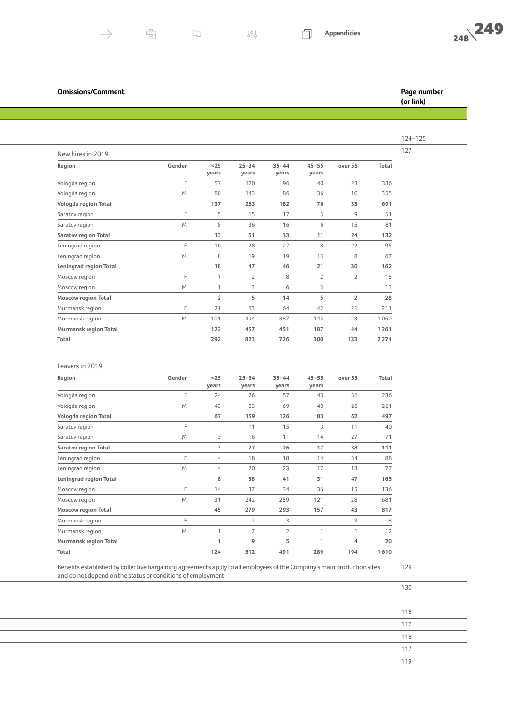$\rightarrow$ 

Leavers in 2019

|                               |        |                 |                    |                    |                    |                |       | 124-125 |
|-------------------------------|--------|-----------------|--------------------|--------------------|--------------------|----------------|-------|---------|
| New hires in 2019             |        |                 |                    |                    |                    |                |       | 127     |
| Region                        | Gender | $25$<br>years   | $25 - 34$<br>years | $35 - 44$<br>years | $45 - 55$<br>years | over 55        | Total |         |
| Vologda region                |        | 57              | 120                | 96                 | 40                 | 23             | 336   |         |
| Vologda region                | M      | 80              | 143                | 86                 | 36                 | 10             | 355   |         |
| Vologda region Total          |        | 137             | 263                | 182                | 76                 | 33             | 691   |         |
| Saratov region                |        | 5               | 15                 | 17                 | 5                  | 9              | 51    |         |
| Saratov region                | M      | 8               | 36                 | 16                 | 6                  | 15             | 81    |         |
| <b>Saratov region Total</b>   |        | 13              | 51                 | 33                 | 11                 | 24             | 132   |         |
| Leningrad region              |        | 10 <sup>°</sup> | 28                 | 27                 | 8                  | 22             | 95    |         |
| Leningrad region              | M      | 8               | 19                 | 19                 | 13                 | 8              | 67    |         |
| <b>Leningrad region Total</b> |        | 18              | 47                 | 46                 | 21                 | 30             | 162   |         |
| Moscow region                 |        |                 | $\mathcal{D}$      | 8                  | $\mathcal{L}$      | $\overline{2}$ | 15    |         |
| Moscow region                 | M      |                 | $\mathcal{R}$      | 6                  |                    |                | 13    |         |
| <b>Moscow region Total</b>    |        | $\overline{2}$  | 5                  | 14                 | -5                 | $\overline{2}$ | 28    |         |
| Murmansk region               |        | 21              | 63                 | 64                 | 42                 | 21             | 211   |         |
| Murmansk region               | M      | 101             | 394                | 387                | 145                | 23             | 1,050 |         |
| Murmansk region Total         |        | 122             | 457                | 451                | 187                | 44             | 1,261 |         |
| Total                         |        | 292             | 823                | 726                | 300                | 133            | 2,274 |         |

| Region                       | Gender | $25$           | $25 - 34$      | $35 - 44$      | $45 - 55$ | over 55 | Total |
|------------------------------|--------|----------------|----------------|----------------|-----------|---------|-------|
|                              |        | years          | years          | years          | years     |         |       |
| Vologda region               | F      | 24             | 76             | 57             | 43        | 36      | 236   |
| Vologda region               | M      | 43             | 83             | 69             | 40        | 26      | 261   |
| Vologda region Total         |        | 67             | 159            | 126            | 83        | 62      | 497   |
| Saratov region               | F      |                | 11             | 15             | 3         | 11      | 40    |
| Saratov region               | M      | 3              | 16             | 11             | 14        | 27      | 71    |
| <b>Saratov region Total</b>  |        | 3              | 27             | 26             | 17        | 38      | 111   |
| Leningrad region             | F      | $\overline{4}$ | 18             | 18             | 14        | 34      | 88    |
| Leningrad region             | M      | $\overline{4}$ | 20             | 23             | 17        | 13      | 77    |
| Leningrad region Total       |        | 8              | 38             | 41             | 31        | 47      | 165   |
| Moscow region                | F      | 14             | 37             | 34             | 36        | 15      | 136   |
| Moscow region                | M      | 31             | 242            | 259            | 121       | 28      | 681   |
| <b>Moscow region Total</b>   |        | 45             | 279            | 293            | 157       | 43      | 817   |
| Murmansk region              | F      |                | $\overline{2}$ | 3              |           | 3       | 8     |
| Murmansk region              | M      | 1              | 7              | $\overline{2}$ | 1         | 1       | 12    |
| <b>Murmansk region Total</b> |        | 1              | 9              | 5              | 1         | 4       | 20    |
| Total                        |        | 124            | 512            | 491            | 289       | 194     | 1,610 |
|                              |        |                |                |                |           |         |       |

## Benefits established by collective bargaining agreements apply to all employees of the Company's main production sites and do not depend on the status or conditions of employment

门

**(or link)**

129

- 1월

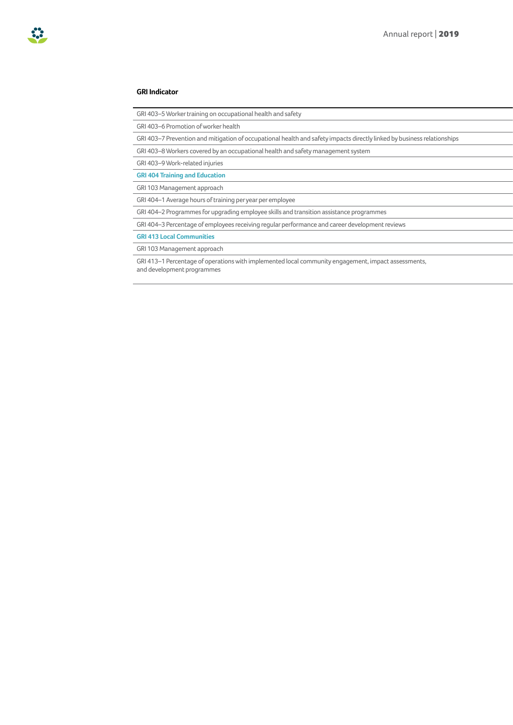| GRI 403-5 Worker training on occupational health and safety                                                             |
|-------------------------------------------------------------------------------------------------------------------------|
| GRI 403-6 Promotion of worker health                                                                                    |
| GRI 403-7 Prevention and mitigation of occupational health and safety impacts directly linked by business relationships |
| GRI 403-8 Workers covered by an occupational health and safety management system                                        |
| GRI 403-9 Work-related injuries                                                                                         |
| <b>GRI 404 Training and Education</b>                                                                                   |
| GRI 103 Management approach                                                                                             |
| GRI 404-1 Average hours of training per year per employee                                                               |
| GRI 404-2 Programmes for upgrading employee skills and transition assistance programmes                                 |
| GRI 404-3 Percentage of employees receiving regular performance and career development reviews                          |
| <b>GRI 413 Local Communities</b>                                                                                        |
| GRI 103 Management approach                                                                                             |

GRI 413–1 Percentage of operations with implemented local community engagement, impact assessments, and development programmes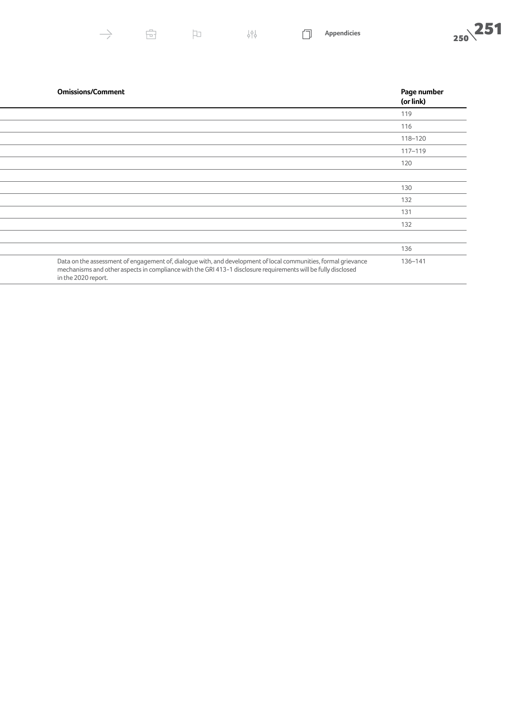$\overline{\boxdot}$ 

 $\begin{picture}(20,20) \put(0,0){\line(1,0){10}} \put(15,0){\line(1,0){10}} \put(15,0){\line(1,0){10}} \put(15,0){\line(1,0){10}} \put(15,0){\line(1,0){10}} \put(15,0){\line(1,0){10}} \put(15,0){\line(1,0){10}} \put(15,0){\line(1,0){10}} \put(15,0){\line(1,0){10}} \put(15,0){\line(1,0){10}} \put(15,0){\line(1,0){10}} \put(15,0){\line(1$ 

 $\overset{\rightharpoonup}{\varphi\upharpoonright\varphi}$ 

 $\Box$ 



| <b>Omissions/Comment</b>                                                                                                                                                                                                                               | Page number<br>(or link) |
|--------------------------------------------------------------------------------------------------------------------------------------------------------------------------------------------------------------------------------------------------------|--------------------------|
|                                                                                                                                                                                                                                                        | 119                      |
|                                                                                                                                                                                                                                                        | 116                      |
|                                                                                                                                                                                                                                                        | 118-120                  |
|                                                                                                                                                                                                                                                        | 117-119                  |
|                                                                                                                                                                                                                                                        | 120                      |
|                                                                                                                                                                                                                                                        |                          |
|                                                                                                                                                                                                                                                        | 130                      |
|                                                                                                                                                                                                                                                        | 132                      |
|                                                                                                                                                                                                                                                        | 131                      |
|                                                                                                                                                                                                                                                        | 132                      |
|                                                                                                                                                                                                                                                        |                          |
|                                                                                                                                                                                                                                                        | 136                      |
| Data on the assessment of engagement of, dialogue with, and development of local communities, formal grievance<br>mechanisms and other aspects in compliance with the GRI 413-1 disclosure requirements will be fully disclosed<br>in the 2020 report. | 136-141                  |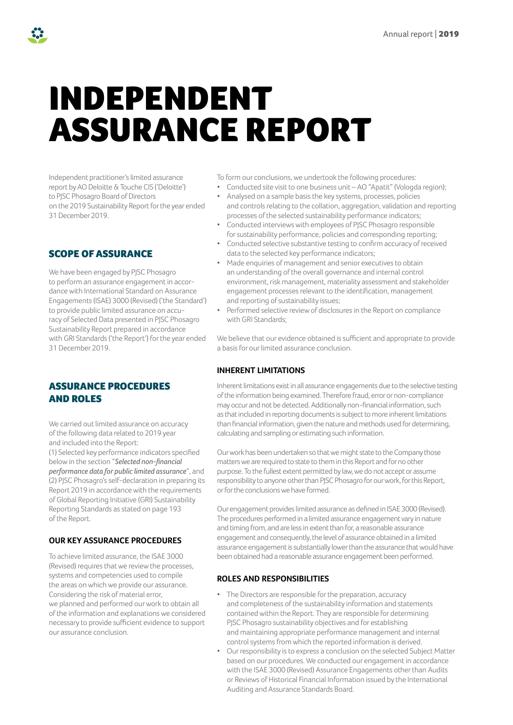## INDEPENDENT ASSURANCE REPORT

Independent practitioner's limited assurance report by AO Deloitte & Touche CIS ('Deloitte') to PJSC Phosagro Board of Directors on the 2019 Sustainability Report for the year ended 31 December 2019.

SCOPE OF ASSURANCE

We have been engaged by PJSC Phosagro to perform an assurance engagement in accordance with International Standard on Assurance Engagements (ISAE) 3000 (Revised) ('the Standard') to provide public limited assurance on accuracy of Selected Data presented in PJSC Phosagro Sustainability Report prepared in accordance with GRI Standards ('the Report') for the year ended 31 December 2019.

## ASSURANCE PROCEDURES AND ROLES

We carried out limited assurance on accuracy of the following data related to 2019 year and included into the Report:

(1) Selected key performance indicators specified below in the section "*Selected non-financial performance data for public limited assurance*", and (2) PJSC Phosagro's self-declaration in preparing its Report 2019 in accordance with the requirements of Global Reporting Initiative (GRI) Sustainability Reporting Standards as stated on page 193 of the Report.

## **OUR KEY ASSURANCE PROCEDURES**

To achieve limited assurance, the ISAE 3000 (Revised) requires that we review the processes, systems and competencies used to compile the areas on which we provide our assurance. Considering the risk of material error, we planned and performed our work to obtain all of the information and explanations we considered necessary to provide sufficient evidence to support our assurance conclusion.

To form our conclusions, we undertook the following procedures:

- Conducted site visit to one business unit AO "Apatit" (Vologda region);
- Analysed on a sample basis the key systems, processes, policies and controls relating to the collation, aggregation, validation and reporting processes of the selected sustainability performance indicators;
- Conducted interviews with employees of PJSC Phosagro responsible for sustainability performance, policies and corresponding reporting;
- Conducted selective substantive testing to confirm accuracy of received data to the selected key performance indicators;
- Made enquiries of management and senior executives to obtain an understanding of the overall governance and internal control environment, risk management, materiality assessment and stakeholder engagement processes relevant to the identification, management and reporting of sustainability issues;
- Performed selective review of disclosures in the Report on compliance with GRI Standards;

We believe that our evidence obtained is sufficient and appropriate to provide a basis for our limited assurance conclusion.

## **INHERENT LIMITATIONS**

Inherent limitations exist in all assurance engagements due to the selective testing of the information being examined. Therefore fraud, error or non-compliance may occur and not be detected. Additionally non-financial information, such as that included in reporting documents is subject to more inherent limitations than financial information, given the nature and methods used for determining, calculating and sampling or estimating such information.

Our work has been undertaken so that we might state to the Company those matters we are required to state to them in this Report and for no other purpose. To the fullest extent permitted by law, we do not accept or assume responsibility to anyone other than PJSC Phosagro for our work, for this Report, or for the conclusions we have formed.

Our engagement provides limited assurance as defined in ISAE 3000 (Revised). The procedures performed in a limited assurance engagement vary in nature and timing from, and are less in extent than for, a reasonable assurance engagement and consequently, the level of assurance obtained in a limited assurance engagement is substantially lower than the assurance that would have been obtained had a reasonable assurance engagement been performed.

## **ROLES AND RESPONSIBILITIES**

- The Directors are responsible for the preparation, accuracy and completeness of the sustainability information and statements contained within the Report. They are responsible for determining PJSC Phosagro sustainability objectives and for establishing and maintaining appropriate performance management and internal control systems from which the reported information is derived.
- Our responsibility is to express a conclusion on the selected Subject Matter based on our procedures. We conducted our engagement in accordance with the ISAE 3000 (Revised) Assurance Engagements other than Audits or Reviews of Historical Financial Information issued by the International Auditing and Assurance Standards Board.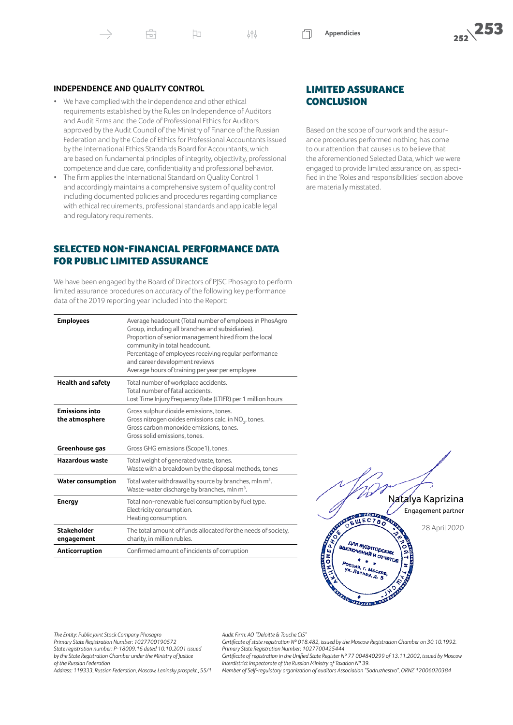Ĥ

• We have complied with the independence and other ethical requirements established by the Rules on Independence of Auditors and Audit Firms and the Code of Professional Ethics for Auditors approved by the Audit Council of the Ministry of Finance of the Russian Federation and by the Code of Ethics for Professional Accountants issued by the International Ethics Standards Board for Accountants, which are based on fundamental principles of integrity, objectivity, professional competence and due care, confidentiality and professional behavior.

口

• The firm applies the International Standard on Quality Control 1 and accordingly maintains a comprehensive system of quality control including documented policies and procedures regarding compliance with ethical requirements, professional standards and applicable legal and regulatory requirements.

## SELECTED NON-FINANCIAL PERFORMANCE DATA FOR PUBLIC LIMITED ASSURANCE

We have been engaged by the Board of Directors of PJSC Phosagro to perform limited assurance procedures on accuracy of the following key performance data of the 2019 reporting year included into the Report:

| <b>Employees</b>                        | Average headcount (Total number of emploees in PhosAgro<br>Group, including all branches and subsidiaries).<br>Proportion of senior management hired from the local<br>community in total headcount.<br>Percentage of employees receiving regular performance<br>and career development reviews<br>Average hours of training per year per employee |
|-----------------------------------------|----------------------------------------------------------------------------------------------------------------------------------------------------------------------------------------------------------------------------------------------------------------------------------------------------------------------------------------------------|
| <b>Health and safety</b>                | Total number of workplace accidents.<br>Total number of fatal accidents.<br>Lost Time Injury Frequency Rate (LTIFR) per 1 million hours                                                                                                                                                                                                            |
| <b>Emissions into</b><br>the atmosphere | Gross sulphur dioxide emissions, tones.<br>Gross nitrogen oxides emissions calc. in NO <sub>2</sub> , tones.<br>Gross carbon monoxide emissions, tones.<br>Gross solid emissions, tones.                                                                                                                                                           |
| Greenhouse gas                          | Gross GHG emissions (Scope1), tones.                                                                                                                                                                                                                                                                                                               |
| <b>Hazardous waste</b>                  | Total weight of generated waste, tones.<br>Waste with a breakdown by the disposal methods, tones                                                                                                                                                                                                                                                   |
| <b>Water consumption</b>                | Total water withdrawal by source by branches, mln $m^3$ .<br>Waste-water discharge by branches, mln m <sup>3</sup> .                                                                                                                                                                                                                               |
| <b>Energy</b>                           | Total non-renewable fuel consumption by fuel type.<br>Electricity consumption.<br>Heating consumption.                                                                                                                                                                                                                                             |
| Stakeholder<br>engagement               | The total amount of funds allocated for the needs of society,<br>charity, in million rubles.                                                                                                                                                                                                                                                       |
| Anticorruption                          | Confirmed amount of incidents of corruption                                                                                                                                                                                                                                                                                                        |
|                                         |                                                                                                                                                                                                                                                                                                                                                    |

## LIMITED ASSURANCE **CONCLUSION**

Based on the scope of our work and the assurance procedures performed nothing has come to our attention that causes us to believe that the aforementioned Selected Data, which we were engaged to provide limited assurance on, as specified in the 'Roles and responsibilities' section above are materially misstated.

> Natalya Kaprizina Engagement partner

> > 28 April 2020

*Audit Firm: AO "Deloitte & Touche CIS"*

*The Entity: Public Joint Stock Company Phosagro Primary State Registration Number: 1027700190572 State registration number: P-18009.16 dated 10.10.2001 issued by the State Registration Chamber under the Ministry of Justice of the Russian Federation*

*Certificate of state registration № 018.482, issued by the Moscow Registration Chamber on 30.10.1992. Primary State Registration Number: 1027700425444*

*Certificate of registration in the Unified State Register № 77 004840299 of 13.11.2002, issued by Moscow Interdistrict Inspectorate of the Russian Ministry of Taxation № 39.*

BULECTBO

для аудиторских<br>спочений и солох

**CALIFORNIA COMPANY** 

для аудиторских<br><sup>СПЮЧӨНИЙ</sup> И ОТЧӨТОЕ<br>России и Ф

*Address: 119333, Russian Federation, Moscow, Leninsky prospekt., 55/1*

*Member of Self-regulatory organization of auditors Association "Sodruzhestvo", ORNZ 12006020384*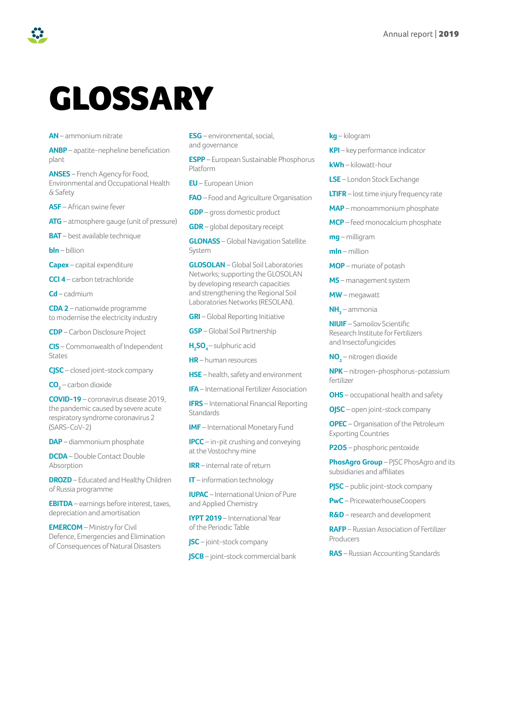## GLOSSARY

**AN** – ammonium nitrate

**ANBP** – apatite-nepheline beneficiation plant

**ANSES** – French Agency for Food, Environmental and Occupational Health & Safety

**ASF** – African swine fever

**ATG** – atmosphere gauge (unit of pressure)

**BAT** – best available technique

**bln** – billion

**Capex** – capital expenditure

**CCl 4** – carbon tetrachloride

**Cd** – cadmium

**CDA 2** – nationwide programme to modernise the electricity industry

**CDP** – Carbon Disclosure Project

**CIS** – Commonwealth of Independent States

**CJSC** – closed joint-stock company

**CO2** – carbon dioxide

**COVID-19** – сoronavirus disease 2019, the pandemic caused by severe acute respiratory syndrome coronavirus 2 (SARS-CoV-2)

**DAP** – diammonium phosphate

**DCDA** – Double Contact Double Absorption

**DROZD** – Educated and Healthy Children of Russia programme

**EBITDA** – earnings before interest, taxes, depreciation and amortisation

**EMERCOM** – Ministry for Civil Defence, Emergencies and Elimination of Consequences of Natural Disasters

**ESG** – environmental, social, and governance

**ESPP** – European Sustainable Phosphorus Platform

**EU** – European Union

**FAO** – Food and Agriculture Organisation

**GDP** – gross domestic product

**GDR** – global depositary receipt

**GLONASS** – Global Navigation Satellite System

**GLOSOLAN** – Global Soil Laboratories Networks; supporting the GLOSOLAN by developing research capacities and strengthening the Regional Soil Laboratories Networks (RESOLAN).

**GRI** – Global Reporting Initiative

**GSP** – Global Soil Partnership

**H2 SO<sup>4</sup>** – sulphuric acid

**HR** – human resources

**HSE** – health, safety and environment

**IFA** – International Fertilizer Association

**IFRS** – International Financial Reporting **Standards** 

**IMF** – International Monetary Fund

**IPCC** – in-pit crushing and conveying at the Vostochny mine

**IRR** – internal rate of return

**IT** – information technology

**IUPAC** – International Union of Pure and Applied Chemistry

**IYPT 2019** – International Year of the Periodic Table

**JSC** – joint-stock company

**JSCB** – joint-stock commercial bank

**kg** – kilogram

**KPI** – key performance indicator

**kWh** – kilowatt-hour

**LSE** – London Stock Exchange

**LTIFR** – lost time injury frequency rate

**MAP** – monoammonium phosphate

**MCP** – feed monocalcium phosphate

**mg** – milligram

**mln** – million

**MOP** – muriate of potash

**MS** – management system

**MW** – megawatt

**NH<sup>3</sup>** – ammonia

**NIUIF** – Samoilov Scientific Research Institute for Fertilizers and Insectofungicides

**NO<sup>2</sup>** – nitrogen dioxide

**NPK** – nitrogen-phosphorus-potassium fertilizer

**OHS** – occupational health and safety

**OJSC** – open joint-stock company

**OPEC** – Organisation of the Petroleum Exporting Countries

**P2O5** – phosphoric pentoxide

**PhosAgro Group** – PJSC PhosAgro and its subsidiaries and affiliates

**PJSC** – public joint-stock company

**PwC** – PricewaterhouseCoopers

**R&D** – research and development

**RAFP** – Russian Association of Fertilizer Producers

**RAS** – Russian Accounting Standards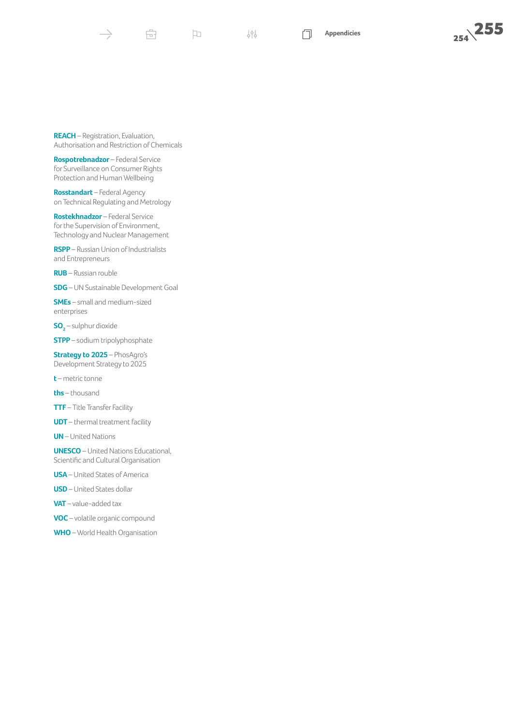帝

999

口

**REACH** – Registration, Evaluation, Authorisation and Restriction of Chemicals

**Rospotrebnadzor** – Federal Service for Surveillance on Consumer Rights Protection and Human Wellbeing

**Rosstandart** – Federal Agency on Technical Regulating and Metrology

**Rostekhnadzor** – Federal Service for the Supervision of Environment, Technology and Nuclear Management

**RSPP** – Russian Union of Industrialists and Entrepreneurs

**RUB** – Russian rouble

**SDG** – UN Sustainable Development Goal

**SMEs** – small and medium-sized enterprises

**SO 2** – sulphur dioxide

**STPP** – sodium tripolyphosphate

**Strategy to 2025** – PhosAgro's Development Strategy to 2025

**t** – metric tonne

**ths** – thousand

**TTF** – Title Transfer Facility

**UDT** – thermal treatment facility

**UN** – United Nations

**UNESCO** – United Nations Educational, Scientific and Cultural Organisation

**USA** – United States of America

**USD** – United States dollar

**VAT** – value-added tax

**VOC** – volatile organic compound

**WHO** – World Health Organisation